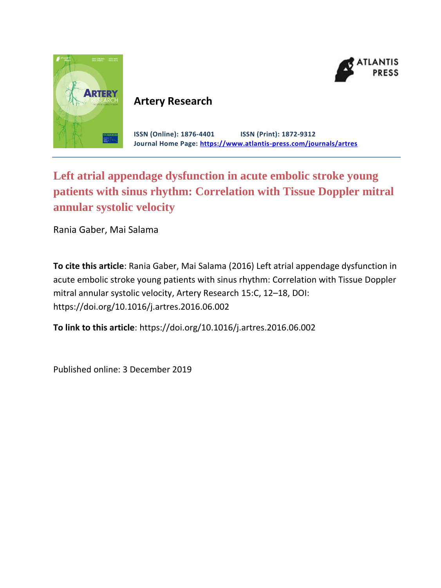



# **Artery Research**

**ISSN (Online): 1876-4401 ISSN (Print): 1872-9312 Journal Home Page: <https://www.atlantis-press.com/journals/artres>**

# **Left atrial appendage dysfunction in acute embolic stroke young patients with sinus rhythm: Correlation with Tissue Doppler mitral annular systolic velocity**

Rania Gaber, Mai Salama

**To cite this article**: Rania Gaber, Mai Salama (2016) Left atrial appendage dysfunction in acute embolic stroke young patients with sinus rhythm: Correlation with Tissue Doppler mitral annular systolic velocity, Artery Research 15:C, 12–18, DOI: https://doi.org/10.1016/j.artres.2016.06.002

**To link to this article**: https://doi.org/10.1016/j.artres.2016.06.002

Published online: 3 December 2019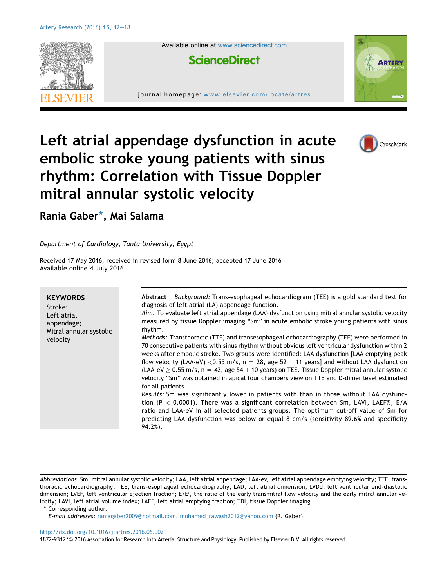

CrossMark

# Left atrial appendage dysfunction in acute embolic stroke young patients with sinus rhythm: Correlation with Tissue Doppler mitral annular systolic velocity

Rania Gaber\*, Mai Salama

Department of Cardiology, Tanta University, Egypt

Received 17 May 2016; received in revised form 8 June 2016; accepted 17 June 2016 Available online 4 July 2016

| <b>KEYWORDS</b><br>Stroke;<br>Left atrial<br>appendage;<br>Mitral annular systolic<br>velocity | Abstract Background: Trans-esophageal echocardiogram (TEE) is a gold standard test for<br>diagnosis of left atrial (LA) appendage function.<br>Aim: To evaluate left atrial appendage (LAA) dysfunction using mitral annular systolic velocity<br>measured by tissue Doppler imaging "Sm" in acute embolic stroke young patients with sinus<br>rhythm.<br>Methods: Transthoracic (TTE) and transesophageal echocardiography (TEE) were performed in<br>70 consecutive patients with sinus rhythm without obvious left ventricular dysfunction within 2<br>weeks after embolic stroke. Two groups were identified: LAA dysfunction [LAA emptying peak<br>flow velocity (LAA-eV) < 0.55 m/s, n = 28, age 52 $\pm$ 11 years] and without LAA dysfunction<br>(LAA-eV $\geq$ 0.55 m/s, n = 42, age 54 $\pm$ 10 years) on TEE. Tissue Doppler mitral annular systolic<br>velocity "Sm" was obtained in apical four chambers view on TTE and D-dimer level estimated<br>for all patients.<br>Results: Sm was significantly lower in patients with than in those without LAA dysfunc-<br>tion (P < 0.0001). There was a significant correlation between Sm, LAVI, LAEF%, E/A<br>ratio and LAA-eV in all selected patients groups. The optimum cut-off value of Sm for<br>predicting LAA dysfunction was below or equal 8 cm/s (sensitivity 89.6% and specificity<br>$94.2\%$ ). |
|------------------------------------------------------------------------------------------------|-------------------------------------------------------------------------------------------------------------------------------------------------------------------------------------------------------------------------------------------------------------------------------------------------------------------------------------------------------------------------------------------------------------------------------------------------------------------------------------------------------------------------------------------------------------------------------------------------------------------------------------------------------------------------------------------------------------------------------------------------------------------------------------------------------------------------------------------------------------------------------------------------------------------------------------------------------------------------------------------------------------------------------------------------------------------------------------------------------------------------------------------------------------------------------------------------------------------------------------------------------------------------------------------------------------------------------------------------------------------------|

Abbreviations: Sm, mitral annular systolic velocity; LAA, left atrial appendage; LAA-ev, left atrial appendage emptying velocity; TTE, transthoracic echocardiography; TEE, trans-esophageal echocardiography; LAD, left atrial dimension; LVDd, left ventricular end-diastolic dimension; LVEF, left ventricular ejection fraction; E/E′, the ratio of the early transmitral flow velocity and the early mitral annular velocity; LAVI, left atrial volume index; LAEF, left atrial emptying fraction; TDI, tissue Doppler imaging.

\* Corresponding author.

E-mail addresses: [raniagaber2009@hotmail.com,](mailto:raniagaber2009@hotmail.com) [mohamed\\_rawash2012@yahoo.com](mailto:mohamed_rawash2012@yahoo.com) (R. Gaber).

#### <http://dx.doi.org/10.1016/j.artres.2016.06.002>

1872-9312/@ 2016 Association for Research into Arterial Structure and Physiology. Published by Elsevier B.V. All rights reserved.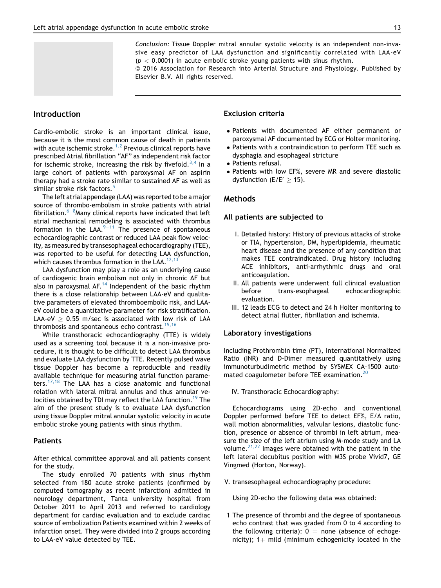Conclusion: Tissue Doppler mitral annular systolic velocity is an independent non-invasive easy predictor of LAA dysfunction and significantly correlated with LAA-eV  $(p < 0.0001)$  in acute embolic stroke young patients with sinus rhythm.

ª 2016 Association for Research into Arterial Structure and Physiology. Published by Elsevier B.V. All rights reserved.

# **Introduction**

Cardio-embolic stroke is an important clinical issue, because it is the most common cause of death in patients with acute ischemic stroke.<sup>1,2</sup> Previous clinical reports have prescribed Atrial fibrillation "AF" as independent risk factor for ischemic stroke, increasing the risk by fivefold.<sup>3,4</sup> In a large cohort of patients with paroxysmal AF on aspirin therapy had a stroke rate similar to sustained AF as well as similar stroke risk factors.<sup>5</sup>

The left atrial appendage (LAA) was reported to be a major source of thrombo-embolism in stroke patients with atrial fibrillation. $^{6-8}$ Many clinical reports have indicated that left atrial mechanical remodeling is associated with thrombus formation in the LAA. $9-11$  The presence of spontaneous echocardiographic contrast or reduced LAA peak flow velocity, as measured by transesophageal echocardiography (TEE), was reported to be useful for detecting LAA dysfunction, which causes thrombus formation in the LAA.<sup>12,13</sup>

LAA dysfunction may play a role as an underlying cause of cardiogenic brain embolism not only in chronic AF but also in paroxysmal AF.<sup>14</sup> Independent of the basic rhythm there is a close relationship between LAA-eV and qualitative parameters of elevated thromboembolic risk, and LAAeV could be a quantitative parameter for risk stratification. LAA-eV  $> 0.55$  m/sec is associated with low risk of LAA thrombosis and spontaneous echo contrast.<sup>15,16</sup>

While transthoracic echocardiography (TTE) is widely used as a screening tool because it is a non-invasive procedure, it is thought to be difficult to detect LAA thrombus and evaluate LAA dysfunction by TTE. Recently pulsed wave tissue Doppler has become a reproducible and readily available technique for measuring atrial function parameters.<sup>17,18</sup> The LAA has a close anatomic and functional relation with lateral mitral annulus and thus annular velocities obtained by TDI may reflect the LAA function.<sup>19</sup> The aim of the present study is to evaluate LAA dysfunction using tissue Doppler mitral annular systolic velocity in acute embolic stroke young patients with sinus rhythm.

## Patients

After ethical committee approval and all patients consent for the study.

The study enrolled 70 patients with sinus rhythm selected from 180 acute stroke patients (confirmed by computed tomography as recent infarction) admitted in neurology department, Tanta university hospital from October 2011 to April 2013 and referred to cardiology department for cardiac evaluation and to exclude cardiac source of embolization Patients examined within 2 weeks of infarction onset. They were divided into 2 groups according to LAA-eV value detected by TEE.

#### Exclusion criteria

- Patients with documented AF either permanent or paroxysmal AF documented by ECG or Holter monitoring.
- Patients with a contraindication to perform TEE such as dysphagia and esophageal stricture
- Patients refusal.
- Patients with low EF%, severe MR and severe diastolic dysfunction (E/E'  $\geq$  15).

# Methods

#### All patients are subjected to

- I. Detailed history: History of previous attacks of stroke or TIA, hypertension, DM, hyperlipidemia, rheumatic heart disease and the presence of any condition that makes TEE contraindicated. Drug history including ACE inhibitors, anti-arrhythmic drugs and oral anticoagulation.
- II. All patients were underwent full clinical evaluation before trans-esophageal echocardiographic evaluation.
- III. 12 leads ECG to detect and 24 h Holter monitoring to detect atrial flutter, fibrillation and ischemia.

#### Laboratory investigations

Including Prothrombin time (PT), International Normalized Ratio (INR) and D-Dimer measured quantitatively using immunoturbudimetric method by SYSMEX CA-1500 automated coagulometer before TEE examination.<sup>20</sup>

IV. Transthoracic Echocardiography:

Echocardiograms using 2D-echo and conventional Doppler performed before TEE to detect EF%, E/A ratio, wall motion abnormalities, valvular lesions, diastolic function, presence or absence of thrombi in left atrium, measure the size of the left atrium using M-mode study and LA volume. $2^{1,22}$  Images were obtained with the patient in the left lateral decubitus position with M3S probe Vivid7, GE Vingmed (Horton, Norway).

V. transesophageal echocardiography procedure:

Using 2D-echo the following data was obtained:

1 The presence of thrombi and the degree of spontaneous echo contrast that was graded from 0 to 4 according to the following criteria):  $0 =$  none (absence of echogenicity);  $1+$  mild (minimum echogenicity located in the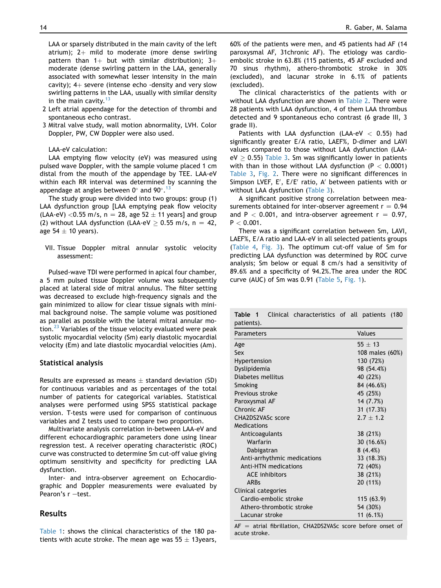LAA or sparsely distributed in the main cavity of the left atrium):  $2+$  mild to moderate (more dense swirling pattern than  $1+$  but with similar distribution);  $3+$ moderate (dense swirling pattern in the LAA, generally associated with somewhat lesser intensity in the main cavity);  $4+$  severe (intense echo -density and very slow swirling patterns in the LAA, usually with similar density in the main cavity. $13$ 

- 2 Left atrial appendage for the detection of thrombi and spontaneous echo contrast.
- 3 Mitral valve study, wall motion abnormality, LVH. Color Doppler, PW, CW Doppler were also used.

LAA-eV calculation:

LAA emptying flow velocity (eV) was measured using pulsed wave Doppler, with the sample volume placed 1 cm distal from the mouth of the appendage by TEE. LAA-eV within each RR interval was determined by scanning the appendage at angles between 0 $^{\circ}$  and 90 $^{\circ}$ .  $^{13}$ 

The study group were divided into two groups: group (1) LAA dysfunction group [LAA emptying peak flow velocity (LAA-eV) < 0.55 m/s,  $n = 28$ , age 52  $\pm$  11 years] and group (2) without LAA dysfunction (LAA-eV  $> 0.55$  m/s, n = 42, age  $54 \pm 10$  years).

VII. Tissue Doppler mitral annular systolic velocity assessment:

Pulsed-wave TDI were performed in apical four chamber, a 5 mm pulsed tissue Doppler volume was subsequently placed at lateral side of mitral annulus. The filter setting was decreased to exclude high-frequency signals and the gain minimized to allow for clear tissue signals with minimal background noise. The sample volume was positioned as parallel as possible with the lateral mitral annular motion. $^{23}$  Variables of the tissue velocity evaluated were peak systolic myocardial velocity (Sm) early diastolic myocardial velocity (Em) and late diastolic myocardial velocities (Am).

#### Statistical analysis

Results are expressed as means  $\pm$  standard deviation (SD) for continuous variables and as percentages of the total number of patients for categorical variables. Statistical analyses were performed using SPSS statistical package version. T-tests were used for comparison of continuous variables and Z tests used to compare two proportion.

Multivariate analysis correlation in-between LAA-eV and different echocardiographic parameters done using linear regression test. A receiver operating characteristic (ROC) curve was constructed to determine Sm cut-off value giving optimum sensitivity and specificity for predicting LAA dysfunction.

Inter- and intra-observer agreement on Echocardiographic and Doppler measurements were evaluated by Pearon's  $r$  -test.

# Results

Table 1: shows the clinical characteristics of the 180 patients with acute stroke. The mean age was  $55 \pm 13$ years,

60% of the patients were men, and 45 patients had AF (14 paroxysmal AF, 31chronic AF). The etiology was cardioembolic stroke in 63.8% (115 patients, 45 AF excluded and 70 sinus rhythm), athero-thrombotic stroke in 30% (excluded), and lacunar stroke in 6.1% of patients (excluded).

The clinical characteristics of the patients with or without LAA dysfunction are shown in Table 2. There were 28 patients with LAA dysfunction, 4 of them LAA thrombus detected and 9 spontaneous echo contrast (6 grade III, 3 grade II).

Patients with LAA dysfunction (LAA-eV  $<$  0.55) had significantly greater E/A ratio, LAEF%, D-dimer and LAVI values compared to those without LAA dysfunction (LAA $eV > 0.55$ ) Table 3. Sm was significantly lower in patients with than in those without LAA dysfunction ( $P < 0.0001$ ) Table 3, Fig. 2. There were no significant differences in Simpson LVEF, E', E/E' ratio, A' between patients with or without LAA dysfunction (Table 3).

A significant positive strong correlation between measurements obtained for inter-observer agreement  $r = 0.94$ and P  $<$  0.001, and intra-observer agreement r = 0.97,  $P < 0.001$ .

There was a significant correlation between Sm, LAVI, LAEF%, E/A ratio and LAA-eV in all selected patients groups (Table 4, Fig. 3). The optimum cut-off value of Sm for predicting LAA dysfunction was determined by ROC curve analysis; Sm below or equal 8 cm/s had a sensitivity of 89.6% and a specificity of 94.2%.The area under the ROC curve (AUC) of Sm was 0.91 (Table 5, Fig. 1).

Table 1 Clinical characteristics of all patients (180

| patients).                  |                 |
|-----------------------------|-----------------|
| Parameters                  | Values          |
| Age                         | $55 + 13$       |
| Sex                         | 108 males (60%) |
| Hypertension                | 130 (72%)       |
| Dyslipidemia                | 98 (54.4%)      |
| Diabetes mellitus           | 40 (22%)        |
| Smoking                     | 84 (46.6%)      |
| Previous stroke             | 45 (25%)        |
| Paroxysmal AF               | 14 (7.7%)       |
| Chronic AF                  | 31 (17.3%)      |
| CHA2DS2VASc score           | $2.7 + 1.2$     |
| Medications                 |                 |
| Anticoagulants              | 38 (21%)        |
| Warfarin                    | 30 (16.6%)      |
| Dabigatran                  | 8(4.4%)         |
| Anti-arrhythmic medications | 33 (18.3%)      |
| Anti-HTN medications        | 72 (40%)        |
| <b>ACE</b> inhibitors       | 38 (21%)        |
| <b>ARBs</b>                 | 20 (11%)        |
| Clinical categories         |                 |
| Cardio-embolic stroke       | 115 (63.9)      |
| Athero-thrombotic stroke    | 54 (30%)        |
| Lacunar stroke              | 11 $(6.1%)$     |

 $AF =$  atrial fibrillation, CHA2DS2VASc score before onset of acute stroke.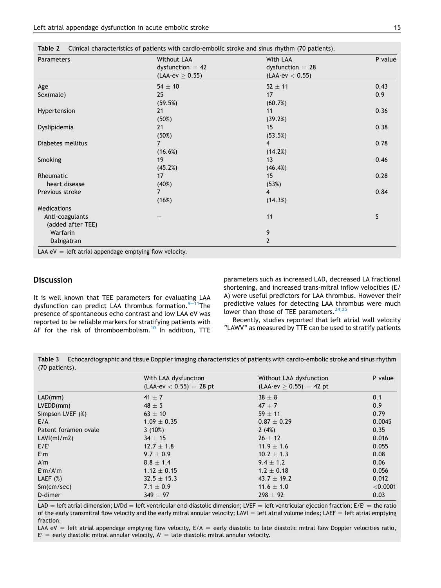| <b>Parameters</b>  | Without LAA<br>dysfunction $= 42$<br>(LAA-ev $\geq$ 0.55) | With LAA<br>$dys$ function = 28<br>$(LAA$ -ev $< 0.55$ ) | P value |
|--------------------|-----------------------------------------------------------|----------------------------------------------------------|---------|
| Age                | $54 \pm 10$                                               | $52 + 11$                                                | 0.43    |
| Sex(male)          | 25                                                        | 17                                                       | 0.9     |
|                    | (59.5%)                                                   | (60.7%)                                                  |         |
| Hypertension       | 21                                                        | 11                                                       | 0.36    |
|                    | (50%)                                                     | (39.2%)                                                  |         |
| Dyslipidemia       | 21                                                        | 15                                                       | 0.38    |
|                    | (50%)                                                     | (53.5%)                                                  |         |
| Diabetes mellitus  | 7                                                         | 4                                                        | 0.78    |
|                    | (16.6%)                                                   | (14.2%)                                                  |         |
| Smoking            | 19                                                        | 13                                                       | 0.46    |
|                    | (45.2%)                                                   | $(46.4\%)$                                               |         |
| Rheumatic          | 17                                                        | 15                                                       | 0.28    |
| heart disease      | (40%)                                                     | (53%)                                                    |         |
| Previous stroke    |                                                           | $\overline{4}$                                           | 0.84    |
|                    | (16%)                                                     | (14.3%)                                                  |         |
| <b>Medications</b> |                                                           |                                                          |         |
| Anti-coagulants    |                                                           | 11                                                       | S       |
| (added after TEE)  |                                                           |                                                          |         |
| Warfarin           |                                                           | 9                                                        |         |
| Dabigatran         |                                                           | $\overline{2}$                                           |         |

# Discussion

It is well known that TEE parameters for evaluating LAA dysfunction can predict LAA thrombus formation. $9-11$ The presence of spontaneous echo contrast and low LAA eV was reported to be reliable markers for stratifying patients with AF for the risk of thromboembolism.<sup>10</sup> In addition, TTE parameters such as increased LAD, decreased LA fractional shortening, and increased trans-mitral inflow velocities (E/ A) were useful predictors for LAA thrombus. However their predictive values for detecting LAA thrombus were much lower than those of TEE parameters.  $24,25$ 

Recently, studies reported that left atrial wall velocity "LAWV" as measured by TTE can be used to stratify patients

Table 3 Echocardiographic and tissue Doppler imaging characteristics of patients with cardio-embolic stroke and sinus rhythm (70 patients).

|                      | With LAA dysfunction          | Without LAA dysfunction   | P value  |
|----------------------|-------------------------------|---------------------------|----------|
|                      | $(LAA$ -ev $< 0.55$ ) = 28 pt | $(LAA-ev > 0.55) = 42$ pt |          |
| LAD(mm)              | 41 $\pm$ 7                    | $38 \pm 8$                | 0.1      |
| LVEDD(mm)            | 48 $\pm$ 5                    | $47 + 7$                  | 0.9      |
| Simpson LVEF (%)     | $63 \pm 10$                   | $59 \pm 11$               | 0.79     |
| E/A                  | $1.09 \pm 0.35$               | $0.87 \pm 0.29$           | 0.0045   |
| Patent foramen ovale | 3(10%)                        | 2(4%)                     | 0.35     |
| LAVI(mI/m2)          | $34 \pm 15$                   | $26 \pm 12$               | 0.016    |
| E/E'                 | $12.7 \pm 1.8$                | $11.9 \pm 1.6$            | 0.055    |
| E'm                  | $9.7 \pm 0.9$                 | $10.2 \pm 1.3$            | 0.08     |
| A'm                  | $8.8 \pm 1.4$                 | $9.4 \pm 1.2$             | 0.06     |
| E'm/A'm              | $1.12 \pm 0.15$               | $1.2 \pm 0.18$            | 0.056    |
| LAEF $(\%)$          | $32.5 \pm 15.3$               | 43.7 $\pm$ 19.2           | 0.012    |
| Sm(cm/sec)           | 7.1 $\pm$ 0.9                 | $11.6 \pm 1.0$            | < 0.0001 |
| D-dimer              | $349 \pm 97$                  | $298 \pm 92$              | 0.03     |

LAD = left atrial dimension; LVDd = left ventricular end-diastolic dimension; LVEF = left ventricular ejection fraction; E/E' = the ratio of the early transmitral flow velocity and the early mitral annular velocity; LAVI = left atrial volume index; LAEF = left atrial emptying fraction.

LAA eV = left atrial appendage emptying flow velocity,  $E/A$  = early diastolic to late diastolic mitral flow Doppler velocities ratio,  $E' =$  early diastolic mitral annular velocity,  $A' =$  late diastolic mitral annular velocity.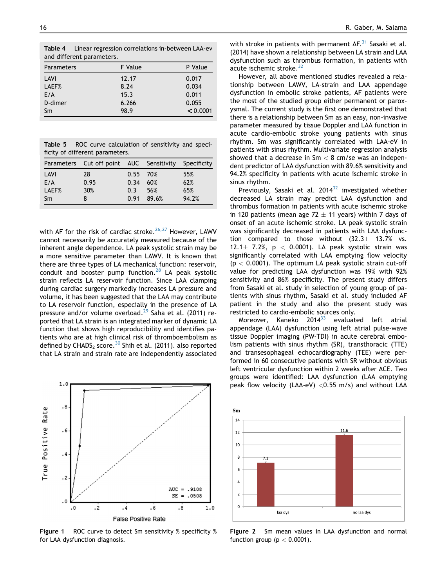Table 4 Linear regression correlations in-between LAA-ev and different parameters.

| P Value  |
|----------|
| 0.017    |
| 0.034    |
| 0.011    |
| 0.055    |
| < 0.0001 |
|          |

|                                 |  | <b>Table 5</b> ROC curve calculation of sensitivity and speci- |  |  |
|---------------------------------|--|----------------------------------------------------------------|--|--|
| ficity of different parameters. |  |                                                                |  |  |

|       | Parameters Cut off point AUC Sensitivity Specificity |            |       |       |
|-------|------------------------------------------------------|------------|-------|-------|
| LAVI  | 28                                                   | $0.55$ 70% |       | 55%   |
| F/A   | 0.95                                                 | 0.34       | 60%   | 62%   |
| LAEF% | 30%                                                  | 0.3        | 56%   | 65%   |
| Sm    |                                                      | 0.91       | 89.6% | 94.2% |

with AF for the risk of cardiac stroke. $26,27$  However, LAWV cannot necessarily be accurately measured because of the inherent angle dependence. LA peak systolic strain may be a more sensitive parameter than LAWV. It is known that there are three types of LA mechanical function: reservoir, conduit and booster pump function.<sup>28</sup> LA peak systolic strain reflects LA reservoir function. Since LAA clamping during cardiac surgery markedly increases LA pressure and volume, it has been suggested that the LAA may contribute to LA reservoir function, especially in the presence of LA pressure and/or volume overload.<sup>29</sup> Saha et al. (2011) reported that LA strain is an integrated marker of dynamic LA function that shows high reproducibility and identifies patients who are at high clinical risk of thromboembolism as defined by CHADS<sub>2</sub> score.<sup>30</sup> Shih et al. (2011). also reported that LA strain and strain rate are independently associated



Figure 1 ROC curve to detect Sm sensitivity % specificity % for LAA dysfunction diagnosis.

with stroke in patients with permanent  $AF<sup>31</sup>$  Sasaki et al. (2014) have shown a relationship between LA strain and LAA dysfunction such as thrombus formation, in patients with acute ischemic stroke.<sup>32</sup>

However, all above mentioned studies revealed a relationship between LAWV, LA-strain and LAA appendage dysfunction in embolic stroke patients, AF patients were the most of the studied group either permanent or paroxysmal. The current study is the first one demonstrated that there is a relationship between Sm as an easy, non-invasive parameter measured by tissue Doppler and LAA function in acute cardio-embolic stroke young patients with sinus rhythm. Sm was significantly correlated with LAA-eV in patients with sinus rhythm. Multivariate regression analysis showed that a decrease in  $Sm < 8$  cm/se was an independent predictor of LAA dysfunction with 89.6% sensitivity and 94.2% specificity in patients with acute ischemic stroke in sinus rhythm.

Previously, Sasaki et al.  $2014^{32}$  investigated whether decreased LA strain may predict LAA dysfunction and thrombus formation in patients with acute ischemic stroke in 120 patients (mean age 72  $\pm$  11 years) within 7 days of onset of an acute ischemic stroke. LA peak systolic strain was significantly decreased in patients with LAA dysfunction compared to those without  $(32.3 \pm 13.7\%$  vs. 12.1 $\pm$  7.2%, p < 0.0001). LA peak systolic strain was significantly correlated with LAA emptying flow velocity  $(p < 0.0001)$ . The optimum LA peak systolic strain cut-off value for predicting LAA dysfunction was 19% with 92% sensitivity and 86% specificity. The present study differs from Sasaki et al. study in selection of young group of patients with sinus rhythm, Sasaki et al. study included AF patient in the study and also the present study was restricted to cardio-embolic sources only.

Moreover, Kaneko  $2014^{33}$  evaluated left atrial appendage (LAA) dysfunction using left atrial pulse-wave tissue Doppler imaging (PW-TDI) in acute cerebral embolism patients with sinus rhythm (SR), transthoracic (TTE) and transesophageal echocardiography (TEE) were performed in 60 consecutive patients with SR without obvious left ventricular dysfunction within 2 weeks after ACE. Two groups were identified: LAA dysfunction (LAA emptying peak flow velocity (LAA-eV)  $<$  0.55 m/s) and without LAA



Figure 2 Sm mean values in LAA dysfunction and normal function group ( $p < 0.0001$ ).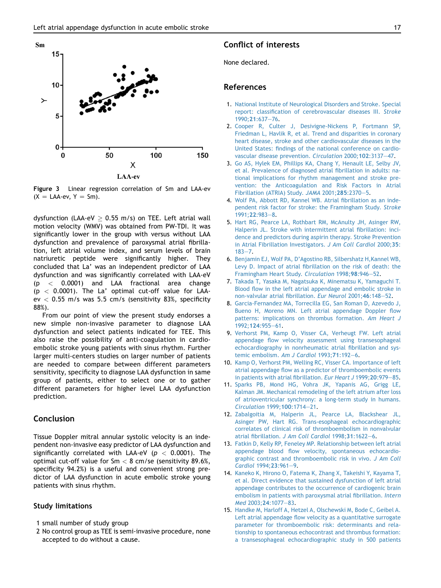

Figure 3 Linear regression correlation of Sm and LAA-ev  $(X = LAA-ev, Y = Sm).$ 

dysfunction (LAA-eV  $>$  0.55 m/s) on TEE. Left atrial wall motion velocity (WMV) was obtained from PW-TDI. It was significantly lower in the group with versus without LAA dysfunction and prevalence of paroxysmal atrial fibrillation, left atrial volume index, and serum levels of brain natriuretic peptide were significantly higher. They concluded that La' was an independent predictor of LAA dysfunction and was significantly correlated with LAA-eV  $(p < 0.0001)$  and LAA fractional area change  $(p < 0.0001)$ . The La' optimal cut-off value for LAAev  $<$  0.55 m/s was 5.5 cm/s (sensitivity 83%, specificity 88%).

From our point of view the present study endorses a new simple non-invasive parameter to diagnose LAA dysfunction and select patients indicated for TEE. This also raise the possibility of anti-coagulation in cardioembolic stroke young patients with sinus rhythm. Further larger multi-centers studies on larger number of patients are needed to compare between different parameters sensitivity, specificity to diagnose LAA dysfunction in same group of patients, either to select one or to gather different parameters for higher level LAA dysfunction prediction.

# Conclusion

Tissue Doppler mitral annular systolic velocity is an independent non-invasive easy predictor of LAA dysfunction and significantly correlated with LAA-eV ( $p < 0.0001$ ). The optimal cut-off value for  $Sm < 8$  cm/se (sensitivity 89.6%, specificity 94.2%) is a useful and convenient strong predictor of LAA dysfunction in acute embolic stroke young patients with sinus rhythm.

#### Study limitations

- 1 small number of study group
- 2 No control group as TEE is semi-invasive procedure, none accepted to do without a cause.

# Conflict of interests

None declared.

# References

- 1. [National Institute of Neurological Disorders and Stroke. Special](http://refhub.elsevier.com/S1872-9312(16)30020-5/sref1) [report: classification of cerebrovascular diseases III.](http://refhub.elsevier.com/S1872-9312(16)30020-5/sref1) Stroke [1990;](http://refhub.elsevier.com/S1872-9312(16)30020-5/sref1)21:637-[76.](http://refhub.elsevier.com/S1872-9312(16)30020-5/sref1)
- 2. [Cooper R, Culter J, Desivigne-Nickens P, Fortmann SP,](http://refhub.elsevier.com/S1872-9312(16)30020-5/sref2) [Friedman L, Havlik R, et al. Trend and disparities in coronary](http://refhub.elsevier.com/S1872-9312(16)30020-5/sref2) [heart disease, stroke and other cardiovascular diseases in the](http://refhub.elsevier.com/S1872-9312(16)30020-5/sref2) [United States: findings of the national conference on cardio](http://refhub.elsevier.com/S1872-9312(16)30020-5/sref2)[vascular disease prevention.](http://refhub.elsevier.com/S1872-9312(16)30020-5/sref2) Circulation 2000;102:3137-[47](http://refhub.elsevier.com/S1872-9312(16)30020-5/sref2).
- 3. [Go AS, Hylek EM, Phillips KA, Chang Y, Henault LE, Selby JV,](http://refhub.elsevier.com/S1872-9312(16)30020-5/sref3) [et al. Prevalence of diagnosed atrial fibrillation in adults: na](http://refhub.elsevier.com/S1872-9312(16)30020-5/sref3)[tional implications for rhythm management and stroke pre](http://refhub.elsevier.com/S1872-9312(16)30020-5/sref3)[vention: the Anticoagulation and Risk Factors in Atrial](http://refhub.elsevier.com/S1872-9312(16)30020-5/sref3) [Fibrillation \(ATRIA\) Study.](http://refhub.elsevier.com/S1872-9312(16)30020-5/sref3) JAMA 2001;28[5](http://refhub.elsevier.com/S1872-9312(16)30020-5/sref3):2370-5.
- 4. [Wolf PA, Abbott RD, Kannel WB. Atrial fibrillation as an inde](http://refhub.elsevier.com/S1872-9312(16)30020-5/sref4)[pendent risk factor for stroke: the Framingham Study.](http://refhub.elsevier.com/S1872-9312(16)30020-5/sref4) Stroke [1991;](http://refhub.elsevier.com/S1872-9312(16)30020-5/sref4)22:983-[8.](http://refhub.elsevier.com/S1872-9312(16)30020-5/sref4)
- 5. [Hart RG, Pearce LA, Rothbart RM, McAnulty JH, Asinger RW,](http://refhub.elsevier.com/S1872-9312(16)30020-5/sref5) [Halperin JL. Stroke with intermittent atrial fibrillation: inci](http://refhub.elsevier.com/S1872-9312(16)30020-5/sref5)[dence and predictors during aspirin therapy. Stroke Prevention](http://refhub.elsevier.com/S1872-9312(16)30020-5/sref5) [in Atrial Fibrillation Investigators.](http://refhub.elsevier.com/S1872-9312(16)30020-5/sref5) J Am Coll Cardiol 2000;35:  $183 - 7$  $183 - 7$
- 6. [Benjamin EJ, Wolf PA, D'Agostino RB, Silbershatz H,Kannel WB,](http://refhub.elsevier.com/S1872-9312(16)30020-5/sref6) [Levy D. Impact of atrial fibrillation on the risk of death: the](http://refhub.elsevier.com/S1872-9312(16)30020-5/sref6) [Framingham Heart Study.](http://refhub.elsevier.com/S1872-9312(16)30020-5/sref6) Circulation 1998;98:946-[52.](http://refhub.elsevier.com/S1872-9312(16)30020-5/sref6)
- 7. [Takada T, Yasaka M, Nagatsuka K, Minematsu K, Yamaguchi T.](http://refhub.elsevier.com/S1872-9312(16)30020-5/sref7) [Blood flow in the left atrial appendage and embolic stroke in](http://refhub.elsevier.com/S1872-9312(16)30020-5/sref7) [non-valvular atrial fibrillation.](http://refhub.elsevier.com/S1872-9312(16)30020-5/sref7) Eur Neurol 2001;46:148-[52.](http://refhub.elsevier.com/S1872-9312(16)30020-5/sref7)
- 8. [Garcia-Fernandez MA, Torrecilla EG, San Roman D, Azevedo J,](http://refhub.elsevier.com/S1872-9312(16)30020-5/sref8) [Bueno H, Moreno MN. Left atrial appendage Doppler flow](http://refhub.elsevier.com/S1872-9312(16)30020-5/sref8) [patterns: implications on thrombus formation.](http://refhub.elsevier.com/S1872-9312(16)30020-5/sref8) Am Heart J [1992;](http://refhub.elsevier.com/S1872-9312(16)30020-5/sref8)124:955-[61](http://refhub.elsevier.com/S1872-9312(16)30020-5/sref8).
- 9. [Verhorst PM, Kamp O, Visser CA, Verheugt FW. Left atrial](http://refhub.elsevier.com/S1872-9312(16)30020-5/sref9) [appendage flow velocity assessment using transesophageal](http://refhub.elsevier.com/S1872-9312(16)30020-5/sref9) [echocardiography in nonrheumatic atrial fibrillation and sys](http://refhub.elsevier.com/S1872-9312(16)30020-5/sref9)[temic embolism.](http://refhub.elsevier.com/S1872-9312(16)30020-5/sref9) Am J Cardiol  $1993;71:192-6$ .
- 10. [Kamp O, Verhorst PM, Welling RC, Visser CA. Importance of left](http://refhub.elsevier.com/S1872-9312(16)30020-5/sref10) [atrial appendage flow as a predictor of thromboembolic events](http://refhub.elsevier.com/S1872-9312(16)30020-5/sref10) [in patients with atrial fibrillation.](http://refhub.elsevier.com/S1872-9312(16)30020-5/sref10) Eur Heart J 1999; 20:979-[85.](http://refhub.elsevier.com/S1872-9312(16)30020-5/sref10)
- 11. [Sparks PB, Mond HG, Vohra JK, Yapanis AG, Grigg LE,](http://refhub.elsevier.com/S1872-9312(16)30020-5/sref11) [Kalman JM. Mechanical remodeling of the left atrium after loss](http://refhub.elsevier.com/S1872-9312(16)30020-5/sref11) [of atrioventricular synchrony: a long-term study in humans.](http://refhub.elsevier.com/S1872-9312(16)30020-5/sref11) [Circulation](http://refhub.elsevier.com/S1872-9312(16)30020-5/sref11) 1999;100:1714-[21](http://refhub.elsevier.com/S1872-9312(16)30020-5/sref11).
- 12. [Zabalgoitia M, Halperin JL, Pearce LA, Blackshear JL,](http://refhub.elsevier.com/S1872-9312(16)30020-5/sref12) [Asinger PW, Hart RG. Trans-esophageal echocardiographic](http://refhub.elsevier.com/S1872-9312(16)30020-5/sref12) [correlates of clinical risk of thromboembolism in nonvalvular](http://refhub.elsevier.com/S1872-9312(16)30020-5/sref12) atrial fibrillation. [J Am Coll Cardiol](http://refhub.elsevier.com/S1872-9312(16)30020-5/sref12) 1998;31:1622-[6.](http://refhub.elsevier.com/S1872-9312(16)30020-5/sref12)
- 13. [Fatkin D, Kelly RP, Feneley MP. Relationship between left atrial](http://refhub.elsevier.com/S1872-9312(16)30020-5/sref13) [appendage blood flow velocity, spontaneous echocardio](http://refhub.elsevier.com/S1872-9312(16)30020-5/sref13)[graphic contrast and thromboembolic risk in vivo.](http://refhub.elsevier.com/S1872-9312(16)30020-5/sref13) J Am Coll [Cardiol](http://refhub.elsevier.com/S1872-9312(16)30020-5/sref13) 1[9](http://refhub.elsevier.com/S1872-9312(16)30020-5/sref13)94; 23:961-9.
- 14. [Kaneko K, Hirono O, Fatema K, Zhang X, Takeishi Y, Kayama T,](http://refhub.elsevier.com/S1872-9312(16)30020-5/sref14) [et al. Direct evidence that sustained dysfunction of left atrial](http://refhub.elsevier.com/S1872-9312(16)30020-5/sref14) [appendage contributes to the occurrence of cardiogenic brain](http://refhub.elsevier.com/S1872-9312(16)30020-5/sref14) [embolism in patients with paroxysmal atrial fibrillation.](http://refhub.elsevier.com/S1872-9312(16)30020-5/sref14) Intern Med [2003;](http://refhub.elsevier.com/S1872-9312(16)30020-5/sref14)24:1077-[83](http://refhub.elsevier.com/S1872-9312(16)30020-5/sref14).
- 15. [Handke M, Harloff A, Hetzel A, Olschewski M, Bode C, Geibel A.](http://refhub.elsevier.com/S1872-9312(16)30020-5/sref15) [Left atrial appendage flow velocity as a quantitative surrogate](http://refhub.elsevier.com/S1872-9312(16)30020-5/sref15) [parameter for thromboembolic risk: determinants and rela](http://refhub.elsevier.com/S1872-9312(16)30020-5/sref15)[tionship to spontaneous echocontrast and thrombus formation:](http://refhub.elsevier.com/S1872-9312(16)30020-5/sref15) [a transesophageal echocardiographic study in 500 patients](http://refhub.elsevier.com/S1872-9312(16)30020-5/sref15)